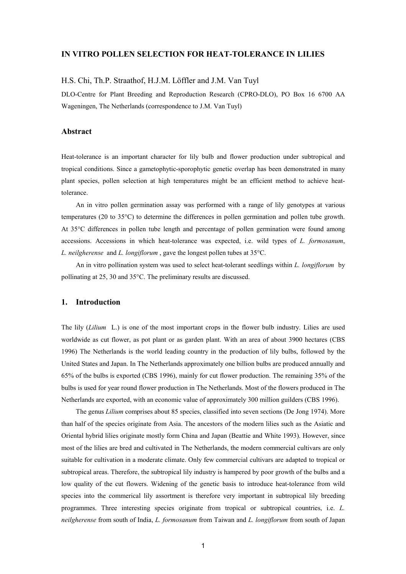## **IN VITRO POLLEN SELECTION FOR HEAT-TOLERANCE IN LILIES**

## H.S. Chi, Th.P. Straathof, H.J.M. Löffler and J.M. Van Tuyl

DLO-Centre for Plant Breeding and Reproduction Research (CPRO-DLO), PO Box 16 6700 AA Wageningen, The Netherlands (correspondence to J.M. Van Tuyl)

# **Abstract**

Heat-tolerance is an important character for lily bulb and flower production under subtropical and tropical conditions. Since a gametophytic-sporophytic genetic overlap has been demonstrated in many plant species, pollen selection at high temperatures might be an efficient method to achieve heattolerance.

An in vitro pollen germination assay was performed with a range of lily genotypes at various temperatures (20 to 35°C) to determine the differences in pollen germination and pollen tube growth. At 35°C differences in pollen tube length and percentage of pollen germination were found among accessions. Accessions in which heat-tolerance was expected, i.e. wild types of *L. formosanum*, *L. neilgherense* and *L. longiflorum* , gave the longest pollen tubes at 35°C.

An in vitro pollination system was used to select heat-tolerant seedlings within *L. longiflorum* by pollinating at 25, 30 and 35°C. The preliminary results are discussed.

## **1. Introduction**

The lily (*Lilium* L.) is one of the most important crops in the flower bulb industry. Lilies are used worldwide as cut flower, as pot plant or as garden plant. With an area of about 3900 hectares (CBS 1996) The Netherlands is the world leading country in the production of lily bulbs, followed by the United States and Japan. In The Netherlands approximately one billion bulbs are produced annually and 65% of the bulbs is exported (CBS 1996), mainly for cut flower production. The remaining 35% of the bulbs is used for year round flower production in The Netherlands. Most of the flowers produced in The Netherlands are exported, with an economic value of approximately 300 million guilders (CBS 1996).

The genus *Lilium* comprises about 85 species, classified into seven sections (De Jong 1974). More than half of the species originate from Asia. The ancestors of the modern lilies such as the Asiatic and Oriental hybrid lilies originate mostly form China and Japan (Beattie and White 1993). However, since most of the lilies are bred and cultivated in The Netherlands, the modern commercial cultivars are only suitable for cultivation in a moderate climate. Only few commercial cultivars are adapted to tropical or subtropical areas. Therefore, the subtropical lily industry is hampered by poor growth of the bulbs and a low quality of the cut flowers. Widening of the genetic basis to introduce heat-tolerance from wild species into the commerical lily assortment is therefore very important in subtropical lily breeding programmes. Three interesting species originate from tropical or subtropical countries, i.e. *L. neilgherense* from south of India, *L. formosanum* from Taiwan and *L. longiflorum* from south of Japan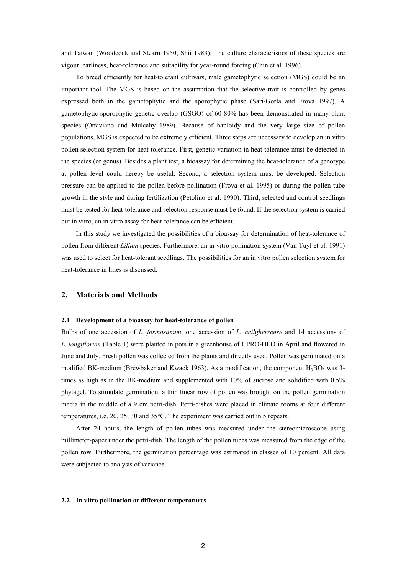and Taiwan (Woodcock and Stearn 1950, Shii 1983). The culture characteristics of these species are vigour, earliness, heat-tolerance and suitability for year-round forcing (Chin et al. 1996).

To breed efficiently for heat-tolerant cultivars, male gametophytic selection (MGS) could be an important tool. The MGS is based on the assumption that the selective trait is controlled by genes expressed both in the gametophytic and the sporophytic phase (Sari-Gorla and Frova 1997). A gametophytic-sporophytic genetic overlap (GSGO) of 60-80% has been demonstrated in many plant species (Ottaviano and Mulcahy 1989). Because of haploidy and the very large size of pollen populations, MGS is expected to be extremely efficient. Three steps are necessary to develop an in vitro pollen selection system for heat-tolerance. First, genetic variation in heat-tolerance must be detected in the species (or genus). Besides a plant test, a bioassay for determining the heat-tolerance of a genotype at pollen level could hereby be useful. Second, a selection system must be developed. Selection pressure can be applied to the pollen before pollination (Frova et al. 1995) or during the pollen tube growth in the style and during fertilization (Petolino et al. 1990). Third, selected and control seedlings must be tested for heat-tolerance and selection response must be found. If the selection system is carried out in vitro, an in vitro assay for heat-tolerance can be efficient.

In this study we investigated the possibilities of a bioassay for determination of heat-tolerance of pollen from different *Lilium* species. Furthermore, an in vitro pollination system (Van Tuyl et al. 1991) was used to select for heat-tolerant seedlings. The possibilities for an in vitro pollen selection system for heat-tolerance in lilies is discussed.

# **2. Materials and Methods**

#### **2.1 Development of a bioassay for heat-tolerance of pollen**

Bulbs of one accession of *L. formosanum*, one accession of *L. neilgherrense* and 14 accessions of *L. longiflorum* (Table 1) were planted in pots in a greenhouse of CPRO-DLO in April and flowered in June and July. Fresh pollen was collected from the plants and directly used. Pollen was germinated on a modified BK-medium (Brewbaker and Kwack 1963). As a modification, the component  $H_3BO_3$  was 3times as high as in the BK-medium and supplemented with 10% of sucrose and solidified with 0.5% phytagel. To stimulate germination, a thin linear row of pollen was brought on the pollen germination media in the middle of a 9 cm petri-dish. Petri-dishes were placed in climate rooms at four different temperatures, i.e. 20, 25, 30 and 35°C. The experiment was carried out in 5 repeats.

After 24 hours, the length of pollen tubes was measured under the stereomicroscope using millimeter-paper under the petri-dish. The length of the pollen tubes was measured from the edge of the pollen row. Furthermore, the germination percentage was estimated in classes of 10 percent. All data were subjected to analysis of variance.

#### **2.2 In vitro pollination at different temperatures**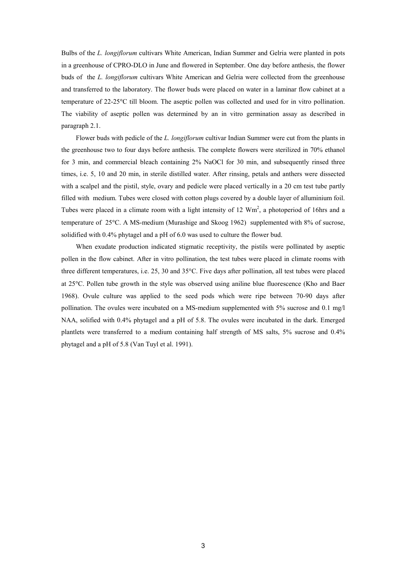Bulbs of the *L. longiflorum* cultivars White American, Indian Summer and Gelria were planted in pots in a greenhouse of CPRO-DLO in June and flowered in September. One day before anthesis, the flower buds of the *L. longiflorum* cultivars White American and Gelria were collected from the greenhouse and transferred to the laboratory. The flower buds were placed on water in a laminar flow cabinet at a temperature of 22-25C till bloom. The aseptic pollen was collected and used for in vitro pollination. The viability of aseptic pollen was determined by an in vitro germination assay as described in paragraph 2.1.

Flower buds with pedicle of the *L. longiflorum* cultivar Indian Summer were cut from the plants in the greenhouse two to four days before anthesis. The complete flowers were sterilized in 70% ethanol for 3 min, and commercial bleach containing 2% NaOCl for 30 min, and subsequently rinsed three times, i.e. 5, 10 and 20 min, in sterile distilled water. After rinsing, petals and anthers were dissected with a scalpel and the pistil, style, ovary and pedicle were placed vertically in a 20 cm test tube partly filled with medium. Tubes were closed with cotton plugs covered by a double layer of alluminium foil. Tubes were placed in a climate room with a light intensity of 12  $Wm<sup>2</sup>$ , a photoperiod of 16hrs and a temperature of 25°C. A MS-medium (Murashige and Skoog 1962) supplemented with 8% of sucrose, solidified with 0.4% phytagel and a pH of 6.0 was used to culture the flower bud.

When exudate production indicated stigmatic receptivity, the pistils were pollinated by aseptic pollen in the flow cabinet. After in vitro pollination, the test tubes were placed in climate rooms with three different temperatures, i.e.  $25$ ,  $30$  and  $35^{\circ}$ C. Five days after pollination, all test tubes were placed at 25C. Pollen tube growth in the style was observed using aniline blue fluorescence (Kho and Baer 1968). Ovule culture was applied to the seed pods which were ripe between 70-90 days after pollination. The ovules were incubated on a MS-medium supplemented with 5% sucrose and 0.1 mg/l NAA, solified with 0.4% phytagel and a pH of 5.8. The ovules were incubated in the dark. Emerged plantlets were transferred to a medium containing half strength of MS salts, 5% sucrose and 0.4% phytagel and a pH of 5.8 (Van Tuyl et al. 1991).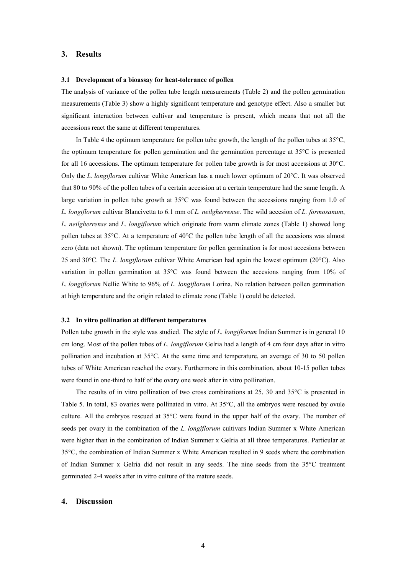### **3. Results**

#### **3.1 Development of a bioassay for heat-tolerance of pollen**

The analysis of variance of the pollen tube length measurements (Table 2) and the pollen germination measurements (Table 3) show a highly significant temperature and genotype effect. Also a smaller but significant interaction between cultivar and temperature is present, which means that not all the accessions react the same at different temperatures.

In Table 4 the optimum temperature for pollen tube growth, the length of the pollen tubes at  $35^{\circ}$ C, the optimum temperature for pollen germination and the germination percentage at 35°C is presented for all 16 accessions. The optimum temperature for pollen tube growth is for most accessions at 30°C. Only the *L. longiflorum* cultivar White American has a much lower optimum of 20°C. It was observed that 80 to 90% of the pollen tubes of a certain accession at a certain temperature had the same length. A large variation in pollen tube growth at 35°C was found between the accessions ranging from 1.0 of *L. longiflorum* cultivar Blancivetta to 6.1 mm of *L. neilgherrense*. The wild accesion of *L. formosanum*, *L. neilgherrense* and *L. longiflorum* which originate from warm climate zones (Table 1) showed long pollen tubes at 35°C. At a temperature of 40°C the pollen tube length of all the accesions was almost zero (data not shown). The optimum temperature for pollen germination is for most accesions between 25 and 30°C. The *L. longiflorum* cultivar White American had again the lowest optimum (20°C). Also variation in pollen germination at 35°C was found between the accesions ranging from 10% of *L. longiflorum* Nellie White to 96% of *L. longiflorum* Lorina. No relation between pollen germination at high temperature and the origin related to climate zone (Table 1) could be detected.

#### **3.2 In vitro pollination at different temperatures**

Pollen tube growth in the style was studied. The style of *L. longiflorum* Indian Summer is in general 10 cm long. Most of the pollen tubes of *L. longiflorum* Gelria had a length of 4 cm four days after in vitro pollination and incubation at 35°C. At the same time and temperature, an average of 30 to 50 pollen tubes of White American reached the ovary. Furthermore in this combination, about 10-15 pollen tubes were found in one-third to half of the ovary one week after in vitro pollination.

The results of in vitro pollination of two cross combinations at 25, 30 and 35°C is presented in Table 5. In total, 83 ovaries were pollinated in vitro. At 35°C, all the embryos were rescued by ovule culture. All the embryos rescued at 35°C were found in the upper half of the ovary. The number of seeds per ovary in the combination of the *L. longiflorum* cultivars Indian Summer x White American were higher than in the combination of Indian Summer x Gelria at all three temperatures. Particular at 35°C, the combination of Indian Summer x White American resulted in 9 seeds where the combination of Indian Summer x Gelria did not result in any seeds. The nine seeds from the 35°C treatment germinated 2-4 weeks after in vitro culture of the mature seeds.

#### **4. Discussion**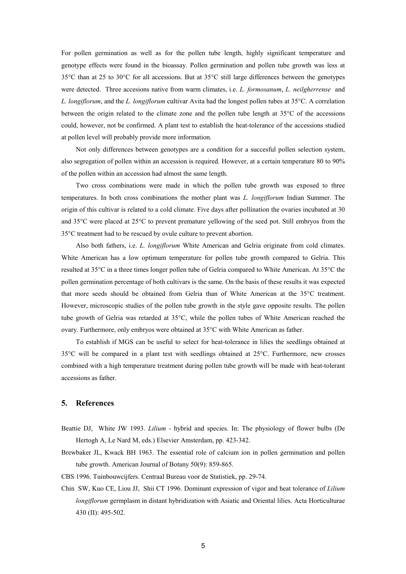For pollen germination as well as for the pollen tube length, highly significant temperature and genotype effects were found in the bioassay. Pollen germination and pollen tube growth was less at 35°C than at 25 to 30°C for all accessions. But at 35°C still large differences between the genotypes were detected. Three accesions native from warm climates, i.e. *L. formosanum*, *L. neilgherrense* and *L. longiflorum*, and the *L. longiflorum* cultivar Avita had the longest pollen tubes at 35°C. A correlation between the origin related to the climate zone and the pollen tube length at 35°C of the accessions could, however, not be confirmed. A plant test to establish the heat-tolerance of the accessions studied at pollen level will probably provide more information.

Not only differences between genotypes are a condition for a succesful pollen selection system, also segregation of pollen within an accession is required. However, at a certain temperature 80 to 90% of the pollen within an accession had almost the same length.

Two cross combinations were made in which the pollen tube growth was exposed to three temperatures. In both cross combinations the mother plant was *L. longiflorum* Indian Summer. The origin of this cultivar is related to a cold climate. Five days after pollination the ovaries incubated at 30 and 35°C were placed at 25°C to prevent premature yellowing of the seed pot. Still embryos from the 35°C treatment had to be rescued by ovule culture to prevent abortion.

Also both fathers, i.e. *L. longiflorum* White American and Gelria originate from cold climates. White American has a low optimum temperature for pollen tube growth compared to Gelria. This resulted at 35°C in a three times longer pollen tube of Gelria compared to White American. At 35°C the pollen germination percentage of both cultivars is the same. On the basis of these results it was expected that more seeds should be obtained from Gelria than of White American at the 35°C treatment. However, microscopic studies of the pollen tube growth in the style gave opposite results. The pollen tube growth of Gelria was retarded at 35°C, while the pollen tubes of White American reached the ovary. Furthermore, only embryos were obtained at 35°C with White American as father.

To establish if MGS can be useful to select for heat-tolerance in lilies the seedlings obtained at 35°C will be compared in a plant test with seedlings obtained at 25°C. Furthermore, new crosses combined with a high temperature treatment during pollen tube growth will be made with heat-tolerant accessions as father.

### **5. References**

- Beattie DJ, White JW 1993. *Lilium* hybrid and species. In: The physiology of flower bulbs (De Hertogh A, Le Nard M, eds.) Elsevier Amsterdam, pp. 423-342.
- Brewbaker JL, Kwack BH 1963. The essential role of calcium ion in pollen germination and pollen tube growth. American Journal of Botany 50(9): 859-865.

CBS 1996. Tuinbouwcijfers. Centraal Bureau voor de Statistiek, pp. 29-74.

Chin SW, Kuo CE, Liou JJ, Shii CT 1996. Dominant expression of vigor and heat tolerance of *Lilium longiflorum* germplasm in distant hybridization with Asiatic and Oriental lilies. Acta Horticulturae 430 (II): 495-502.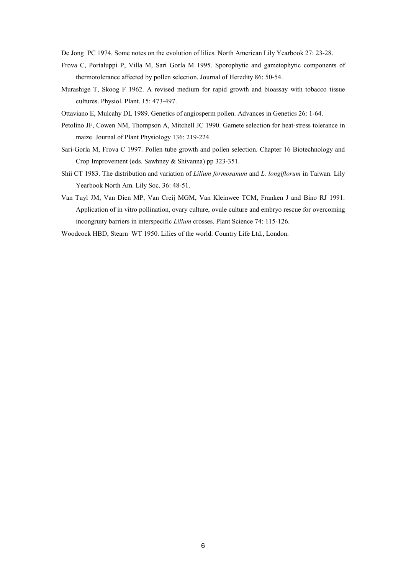De Jong PC 1974. Some notes on the evolution of lilies. North American Lily Yearbook 27: 23-28.

- Frova C, Portaluppi P, Villa M, Sari Gorla M 1995. Sporophytic and gametophytic components of thermotolerance affected by pollen selection. Journal of Heredity 86: 50-54.
- Murashige T, Skoog F 1962. A revised medium for rapid growth and bioassay with tobacco tissue cultures. Physiol. Plant. 15: 473-497.
- Ottaviano E, Mulcahy DL 1989. Genetics of angiosperm pollen. Advances in Genetics 26: 1-64.
- Petolino JF, Cowen NM, Thompson A, Mitchell JC 1990. Gamete selection for heat-stress tolerance in maize. Journal of Plant Physiology 136: 219-224.
- Sari-Gorla M, Frova C 1997. Pollen tube growth and pollen selection. Chapter 16 Biotechnology and Crop Improvement (eds. Sawhney & Shivanna) pp 323-351.
- Shii CT 1983. The distribution and variation of *Lilium formosanum* and *L. longiflorum* in Taiwan. Lily Yearbook North Am. Lily Soc. 36: 48-51.
- Van Tuyl JM, Van Dien MP, Van Creij MGM, Van Kleinwee TCM, Franken J and Bino RJ 1991. Application of in vitro pollination, ovary culture, ovule culture and embryo rescue for overcoming incongruity barriers in interspecific *Lilium* crosses. Plant Science 74: 115-126.
- Woodcock HBD, Stearn WT 1950. Lilies of the world. Country Life Ltd., London.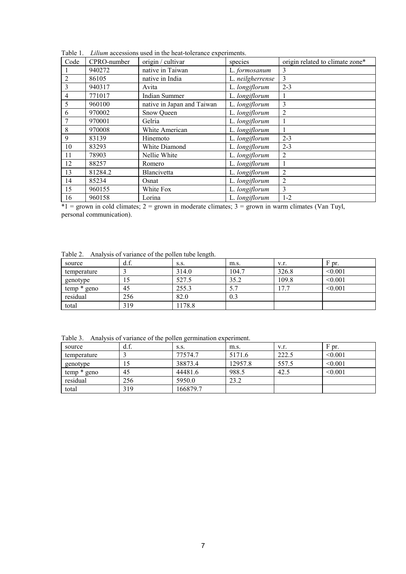|                | <i>un accessions ased in the near tolerance experiments.</i> |                            |                  |                                 |  |  |  |  |
|----------------|--------------------------------------------------------------|----------------------------|------------------|---------------------------------|--|--|--|--|
| Code           | CPRO-number                                                  | origin / cultivar          | species          | origin related to climate zone* |  |  |  |  |
|                | 940272                                                       | native in Taiwan           | L. formosanum    | 3                               |  |  |  |  |
| $\overline{2}$ | 86105                                                        | native in India            | L. neilgherrense | 3                               |  |  |  |  |
| 3              | 940317                                                       | Avita                      | L. longiflorum   | $2 - 3$                         |  |  |  |  |
| 4              | 771017                                                       | Indian Summer              | L. longiflorum   |                                 |  |  |  |  |
| 5              | 960100                                                       | native in Japan and Taiwan | L. longiflorum   | 3                               |  |  |  |  |
| 6              | 970002                                                       | Snow Queen                 | L. longiflorum   | $\overline{2}$                  |  |  |  |  |
|                | 970001                                                       | Gelria                     | L. longiflorum   |                                 |  |  |  |  |
| 8              | 970008                                                       | White American             | L. longiflorum   |                                 |  |  |  |  |
| 9              | 83139                                                        | Hinemoto                   | L. longiflorum   | $2 - 3$                         |  |  |  |  |
| 10             | 83293                                                        | White Diamond              | L. longiflorum   | $2 - 3$                         |  |  |  |  |
| 11             | 78903                                                        | Nellie White               | L. longiflorum   | 2                               |  |  |  |  |
| 12             | 88257                                                        | Romero                     | L. longiflorum   |                                 |  |  |  |  |
| 13             | 81284.2                                                      | <b>Blancivetta</b>         | L. longiflorum   | 2                               |  |  |  |  |
| 14             | 85234                                                        | Osnat                      | L. longiflorum   | 2                               |  |  |  |  |
| 15             | 960155                                                       | White Fox                  | L. longiflorum   | 3                               |  |  |  |  |
| 16             | 960158                                                       | Lorina                     | L. longiflorum   | $1-2$                           |  |  |  |  |
|                |                                                              |                            |                  |                                 |  |  |  |  |

Table 1. *Lilium* accessions used in the heat-tolerance experiments.

 $*1 =$  grown in cold climates; 2 = grown in moderate climates; 3 = grown in warm climates (Van Tuyl, personal communication).

Table 2. Analysis of variance of the pollen tube length.

| source        | d.f. | S.S.   | m.s.  | V.f.  | F pr.   |
|---------------|------|--------|-------|-------|---------|
| temperature   |      | 314.0  | 104.7 | 326.8 | < 0.001 |
| genotype      |      | 527.5  | 35.2  | 109.8 | < 0.001 |
| $temp * geno$ | 45   | 255.3  |       | '7.   | < 0.001 |
| residual      | 256  | 82.0   | 0.3   |       |         |
| total         | 319  | 1178.8 |       |       |         |

Table 3. Analysis of variance of the pollen germination experiment.

|             |      | $\tilde{\phantom{a}}$ |         |       |              |
|-------------|------|-----------------------|---------|-------|--------------|
| source      | d.f. | S.S.                  | m.s.    | V.f.  | F pr.        |
| temperature |      | 77574.7               | 5171.6  | 222.5 | $\leq 0.001$ |
| genotype    |      | 38873.4               | 12957.8 | 557.5 | < 0.001      |
| temp * geno | 45   | 44481.6               | 988.5   | 42.5  | < 0.001      |
| residual    | 256  | 5950.0                | 23.2    |       |              |
| total       | 319  | 166879.7              |         |       |              |